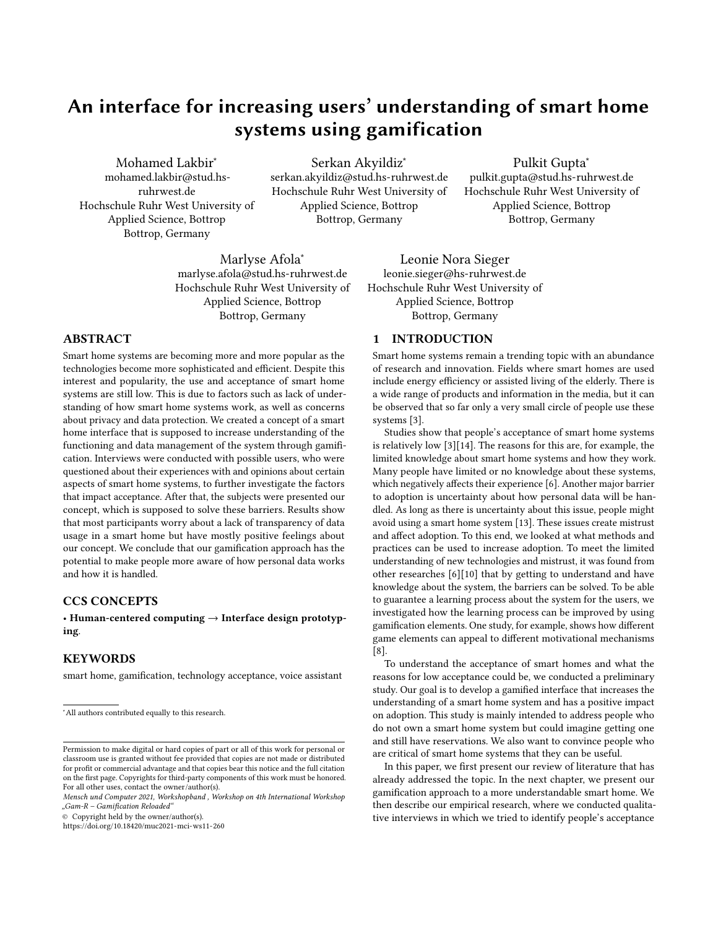# An interface for increasing users' understanding of smart home systems using gamification

Mohamed Lakbir<sup>∗</sup> mohamed.lakbir@stud.hsruhrwest.de Hochschule Ruhr West University of Applied Science, Bottrop Bottrop, Germany

Serkan Akyildiz<sup>∗</sup> serkan.akyildiz@stud.hs-ruhrwest.de Hochschule Ruhr West University of Applied Science, Bottrop Bottrop, Germany

Pulkit Gupta<sup>∗</sup> pulkit.gupta@stud.hs-ruhrwest.de Hochschule Ruhr West University of Applied Science, Bottrop Bottrop, Germany

Marlyse Afola<sup>∗</sup> marlyse.afola@stud.hs-ruhrwest.de Hochschule Ruhr West University of Applied Science, Bottrop Bottrop, Germany

# ABSTRACT

Smart home systems are becoming more and more popular as the technologies become more sophisticated and efficient. Despite this interest and popularity, the use and acceptance of smart home systems are still low. This is due to factors such as lack of understanding of how smart home systems work, as well as concerns about privacy and data protection. We created a concept of a smart home interface that is supposed to increase understanding of the functioning and data management of the system through gamification. Interviews were conducted with possible users, who were questioned about their experiences with and opinions about certain aspects of smart home systems, to further investigate the factors that impact acceptance. After that, the subjects were presented our concept, which is supposed to solve these barriers. Results show that most participants worry about a lack of transparency of data usage in a smart home but have mostly positive feelings about our concept. We conclude that our gamification approach has the potential to make people more aware of how personal data works and how it is handled.

# CCS CONCEPTS

• Human-centered computing → Interface design prototyping.

#### KEYWORDS

smart home, gamification, technology acceptance, voice assistant

© Copyright held by the owner/author(s).

<https://doi.org/10.18420/muc2021-mci-ws11-260>

Leonie Nora Sieger leonie.sieger@hs-ruhrwest.de Hochschule Ruhr West University of Applied Science, Bottrop Bottrop, Germany

# 1 INTRODUCTION

Smart home systems remain a trending topic with an abundance of research and innovation. Fields where smart homes are used include energy efficiency or assisted living of the elderly. There is a wide range of products and information in the media, but it can be observed that so far only a very small circle of people use these systems [\[3\]](#page-4-0).

Studies show that people's acceptance of smart home systems is relatively low [\[3\]](#page-4-0)[\[14\]](#page-4-1). The reasons for this are, for example, the limited knowledge about smart home systems and how they work. Many people have limited or no knowledge about these systems, which negatively affects their experience [\[6\]](#page-4-2). Another major barrier to adoption is uncertainty about how personal data will be handled. As long as there is uncertainty about this issue, people might avoid using a smart home system [\[13\]](#page-4-3). These issues create mistrust and affect adoption. To this end, we looked at what methods and practices can be used to increase adoption. To meet the limited understanding of new technologies and mistrust, it was found from other researches [\[6\]](#page-4-2)[\[10\]](#page-4-4) that by getting to understand and have knowledge about the system, the barriers can be solved. To be able to guarantee a learning process about the system for the users, we investigated how the learning process can be improved by using gamification elements. One study, for example, shows how different game elements can appeal to different motivational mechanisms [\[8\]](#page-4-5).

To understand the acceptance of smart homes and what the reasons for low acceptance could be, we conducted a preliminary study. Our goal is to develop a gamified interface that increases the understanding of a smart home system and has a positive impact on adoption. This study is mainly intended to address people who do not own a smart home system but could imagine getting one and still have reservations. We also want to convince people who are critical of smart home systems that they can be useful.

In this paper, we first present our review of literature that has already addressed the topic. In the next chapter, we present our gamification approach to a more understandable smart home. We then describe our empirical research, where we conducted qualitative interviews in which we tried to identify people's acceptance

<sup>∗</sup>All authors contributed equally to this research.

Permission to make digital or hard copies of part or all of this work for personal or classroom use is granted without fee provided that copies are not made or distributed for profit or commercial advantage and that copies bear this notice and the full citation on the first page. Copyrights for third-party components of this work must be honored. For all other uses, contact the owner/author(s).

Mensch und Computer 2021, Workshopband , Workshop on 4th International Workshop "Gam-R – Gamification Reloaded"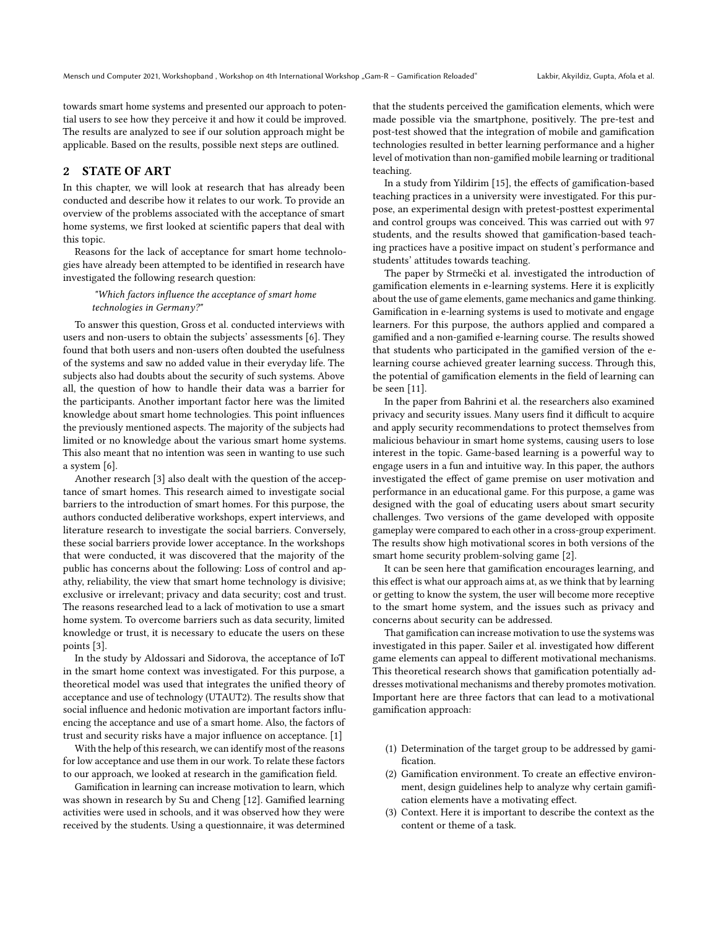towards smart home systems and presented our approach to potential users to see how they perceive it and how it could be improved. The results are analyzed to see if our solution approach might be applicable. Based on the results, possible next steps are outlined.

# 2 STATE OF ART

In this chapter, we will look at research that has already been conducted and describe how it relates to our work. To provide an overview of the problems associated with the acceptance of smart home systems, we first looked at scientific papers that deal with this topic.

Reasons for the lack of acceptance for smart home technologies have already been attempted to be identified in research have investigated the following research question:

### "Which factors influence the acceptance of smart home technologies in Germany?"

To answer this question, [Gross et al.](#page-4-2) conducted interviews with users and non-users to obtain the subjects' assessments [\[6\]](#page-4-2). They found that both users and non-users often doubted the usefulness of the systems and saw no added value in their everyday life. The subjects also had doubts about the security of such systems. Above all, the question of how to handle their data was a barrier for the participants. Another important factor here was the limited knowledge about smart home technologies. This point influences the previously mentioned aspects. The majority of the subjects had limited or no knowledge about the various smart home systems. This also meant that no intention was seen in wanting to use such a system [\[6\]](#page-4-2).

Another research [\[3\]](#page-4-0) also dealt with the question of the acceptance of smart homes. This research aimed to investigate social barriers to the introduction of smart homes. For this purpose, the authors conducted deliberative workshops, expert interviews, and literature research to investigate the social barriers. Conversely, these social barriers provide lower acceptance. In the workshops that were conducted, it was discovered that the majority of the public has concerns about the following: Loss of control and apathy, reliability, the view that smart home technology is divisive; exclusive or irrelevant; privacy and data security; cost and trust. The reasons researched lead to a lack of motivation to use a smart home system. To overcome barriers such as data security, limited knowledge or trust, it is necessary to educate the users on these points [\[3\]](#page-4-0).

In the study by [Aldossari and Sidorova,](#page-4-6) the acceptance of IoT in the smart home context was investigated. For this purpose, a theoretical model was used that integrates the unified theory of acceptance and use of technology (UTAUT2). The results show that social influence and hedonic motivation are important factors influencing the acceptance and use of a smart home. Also, the factors of trust and security risks have a major influence on acceptance. [\[1\]](#page-4-6)

With the help of this research, we can identify most of the reasons for low acceptance and use them in our work. To relate these factors to our approach, we looked at research in the gamification field.

Gamification in learning can increase motivation to learn, which was shown in research by Su and Cheng [\[12\]](#page-4-7). Gamified learning activities were used in schools, and it was observed how they were received by the students. Using a questionnaire, it was determined

that the students perceived the gamification elements, which were made possible via the smartphone, positively. The pre-test and post-test showed that the integration of mobile and gamification technologies resulted in better learning performance and a higher level of motivation than non-gamified mobile learning or traditional teaching.

In a study from [Yildirim](#page-4-8) [\[15\]](#page-4-8), the effects of gamification-based teaching practices in a university were investigated. For this purpose, an experimental design with pretest-posttest experimental and control groups was conceived. This was carried out with 97 students, and the results showed that gamification-based teaching practices have a positive impact on student's performance and students' attitudes towards teaching.

The paper by [Strmečki et al.](#page-4-9) investigated the introduction of gamification elements in e-learning systems. Here it is explicitly about the use of game elements, game mechanics and game thinking. Gamification in e-learning systems is used to motivate and engage learners. For this purpose, the authors applied and compared a gamified and a non-gamified e-learning course. The results showed that students who participated in the gamified version of the elearning course achieved greater learning success. Through this, the potential of gamification elements in the field of learning can be seen [\[11\]](#page-4-9).

In the paper from [Bahrini et al.](#page-4-10) the researchers also examined privacy and security issues. Many users find it difficult to acquire and apply security recommendations to protect themselves from malicious behaviour in smart home systems, causing users to lose interest in the topic. Game-based learning is a powerful way to engage users in a fun and intuitive way. In this paper, the authors investigated the effect of game premise on user motivation and performance in an educational game. For this purpose, a game was designed with the goal of educating users about smart security challenges. Two versions of the game developed with opposite gameplay were compared to each other in a cross-group experiment. The results show high motivational scores in both versions of the smart home security problem-solving game [\[2\]](#page-4-10).

It can be seen here that gamification encourages learning, and this effect is what our approach aims at, as we think that by learning or getting to know the system, the user will become more receptive to the smart home system, and the issues such as privacy and concerns about security can be addressed.

That gamification can increase motivation to use the systems was investigated in this paper. [Sailer et al.](#page-4-5) investigated how different game elements can appeal to different motivational mechanisms. This theoretical research shows that gamification potentially addresses motivational mechanisms and thereby promotes motivation. Important here are three factors that can lead to a motivational gamification approach:

- (1) Determination of the target group to be addressed by gamification.
- (2) Gamification environment. To create an effective environment, design guidelines help to analyze why certain gamification elements have a motivating effect.
- (3) Context. Here it is important to describe the context as the content or theme of a task.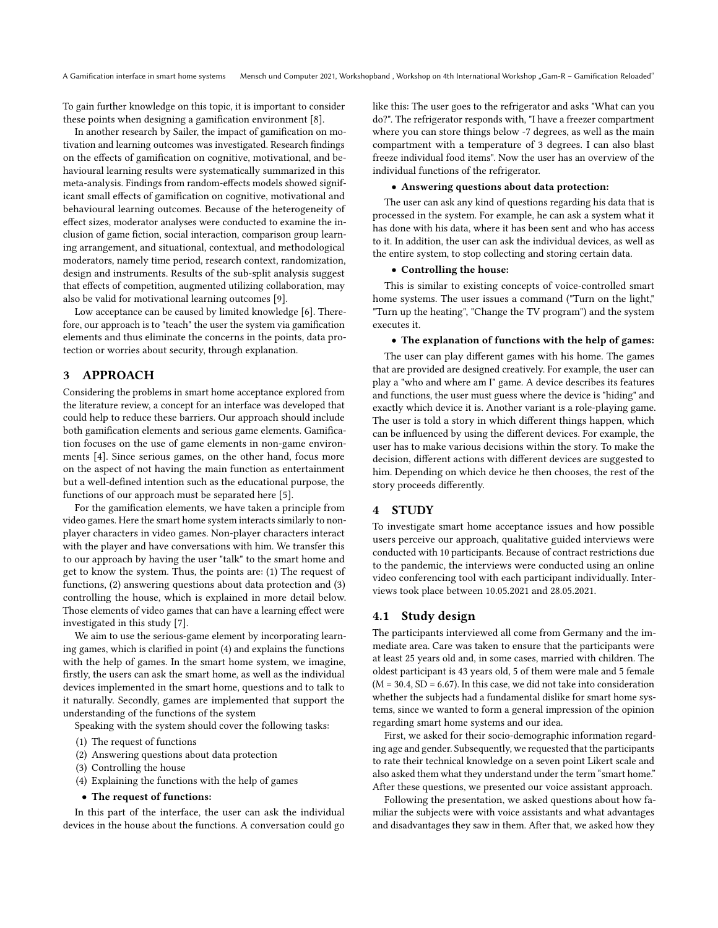To gain further knowledge on this topic, it is important to consider these points when designing a gamification environment [\[8\]](#page-4-5).

In another research by Sailer, the impact of gamification on motivation and learning outcomes was investigated. Research findings on the effects of gamification on cognitive, motivational, and behavioural learning results were systematically summarized in this meta-analysis. Findings from random-effects models showed significant small effects of gamification on cognitive, motivational and behavioural learning outcomes. Because of the heterogeneity of effect sizes, moderator analyses were conducted to examine the inclusion of game fiction, social interaction, comparison group learning arrangement, and situational, contextual, and methodological moderators, namely time period, research context, randomization, design and instruments. Results of the sub-split analysis suggest that effects of competition, augmented utilizing collaboration, may also be valid for motivational learning outcomes [\[9\]](#page-4-11).

Low acceptance can be caused by limited knowledge [\[6\]](#page-4-2). Therefore, our approach is to "teach" the user the system via gamification elements and thus eliminate the concerns in the points, data protection or worries about security, through explanation.

# 3 APPROACH

Considering the problems in smart home acceptance explored from the literature review, a concept for an interface was developed that could help to reduce these barriers. Our approach should include both gamification elements and serious game elements. Gamification focuses on the use of game elements in non-game environments [\[4\]](#page-4-12). Since serious games, on the other hand, focus more on the aspect of not having the main function as entertainment but a well-defined intention such as the educational purpose, the functions of our approach must be separated here [\[5\]](#page-4-13).

For the gamification elements, we have taken a principle from video games. Here the smart home system interacts similarly to nonplayer characters in video games. Non-player characters interact with the player and have conversations with him. We transfer this to our approach by having the user "talk" to the smart home and get to know the system. Thus, the points are: (1) The request of functions, (2) answering questions about data protection and (3) controlling the house, which is explained in more detail below. Those elements of video games that can have a learning effect were investigated in this study [\[7\]](#page-4-14).

We aim to use the serious-game element by incorporating learning games, which is clarified in point (4) and explains the functions with the help of games. In the smart home system, we imagine, firstly, the users can ask the smart home, as well as the individual devices implemented in the smart home, questions and to talk to it naturally. Secondly, games are implemented that support the understanding of the functions of the system

Speaking with the system should cover the following tasks:

- (1) The request of functions
- (2) Answering questions about data protection
- (3) Controlling the house
- (4) Explaining the functions with the help of games
- The request of functions:

In this part of the interface, the user can ask the individual devices in the house about the functions. A conversation could go like this: The user goes to the refrigerator and asks "What can you do?". The refrigerator responds with, "I have a freezer compartment where you can store things below -7 degrees, as well as the main compartment with a temperature of 3 degrees. I can also blast freeze individual food items". Now the user has an overview of the individual functions of the refrigerator.

#### • Answering questions about data protection:

The user can ask any kind of questions regarding his data that is processed in the system. For example, he can ask a system what it has done with his data, where it has been sent and who has access to it. In addition, the user can ask the individual devices, as well as the entire system, to stop collecting and storing certain data.

### • Controlling the house:

This is similar to existing concepts of voice-controlled smart home systems. The user issues a command ("Turn on the light," "Turn up the heating", "Change the TV program") and the system executes it.

• The explanation of functions with the help of games:

The user can play different games with his home. The games that are provided are designed creatively. For example, the user can play a "who and where am I" game. A device describes its features and functions, the user must guess where the device is "hiding" and exactly which device it is. Another variant is a role-playing game. The user is told a story in which different things happen, which can be influenced by using the different devices. For example, the user has to make various decisions within the story. To make the decision, different actions with different devices are suggested to him. Depending on which device he then chooses, the rest of the story proceeds differently.

#### 4 STUDY

To investigate smart home acceptance issues and how possible users perceive our approach, qualitative guided interviews were conducted with 10 participants. Because of contract restrictions due to the pandemic, the interviews were conducted using an online video conferencing tool with each participant individually. Interviews took place between 10.05.2021 and 28.05.2021.

#### 4.1 Study design

The participants interviewed all come from Germany and the immediate area. Care was taken to ensure that the participants were at least 25 years old and, in some cases, married with children. The oldest participant is 43 years old, 5 of them were male and 5 female  $(M = 30.4, SD = 6.67)$ . In this case, we did not take into consideration whether the subjects had a fundamental dislike for smart home systems, since we wanted to form a general impression of the opinion regarding smart home systems and our idea.

First, we asked for their socio-demographic information regarding age and gender. Subsequently, we requested that the participants to rate their technical knowledge on a seven point Likert scale and also asked them what they understand under the term "smart home." After these questions, we presented our voice assistant approach.

Following the presentation, we asked questions about how familiar the subjects were with voice assistants and what advantages and disadvantages they saw in them. After that, we asked how they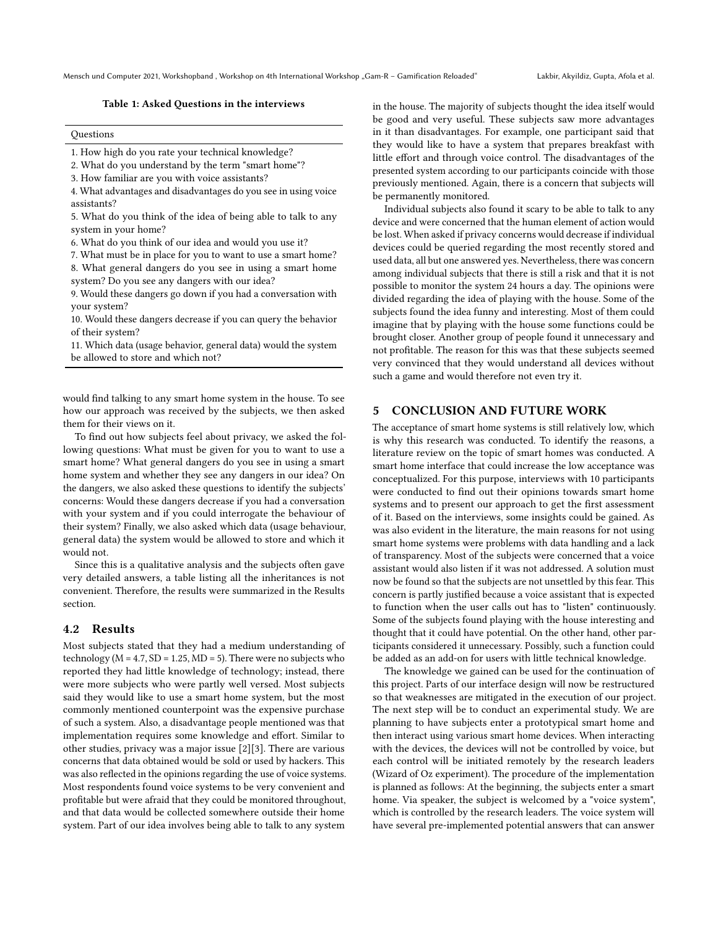#### Table 1: Asked Questions in the interviews

#### Questions

- 1. How high do you rate your technical knowledge?
- 2. What do you understand by the term "smart home"?
- 3. How familiar are you with voice assistants?
- 4. What advantages and disadvantages do you see in using voice assistants?
- 5. What do you think of the idea of being able to talk to any system in your home?
- 6. What do you think of our idea and would you use it?
- 7. What must be in place for you to want to use a smart home?
- 8. What general dangers do you see in using a smart home system? Do you see any dangers with our idea?
- 9. Would these dangers go down if you had a conversation with your system?
- 10. Would these dangers decrease if you can query the behavior of their system?
- 11. Which data (usage behavior, general data) would the system be allowed to store and which not?

would find talking to any smart home system in the house. To see how our approach was received by the subjects, we then asked them for their views on it.

To find out how subjects feel about privacy, we asked the following questions: What must be given for you to want to use a smart home? What general dangers do you see in using a smart home system and whether they see any dangers in our idea? On the dangers, we also asked these questions to identify the subjects' concerns: Would these dangers decrease if you had a conversation with your system and if you could interrogate the behaviour of their system? Finally, we also asked which data (usage behaviour, general data) the system would be allowed to store and which it would not.

Since this is a qualitative analysis and the subjects often gave very detailed answers, a table listing all the inheritances is not convenient. Therefore, the results were summarized in the Results section.

#### 4.2 Results

Most subjects stated that they had a medium understanding of technology ( $M = 4.7$ ,  $SD = 1.25$ ,  $MD = 5$ ). There were no subjects who reported they had little knowledge of technology; instead, there were more subjects who were partly well versed. Most subjects said they would like to use a smart home system, but the most commonly mentioned counterpoint was the expensive purchase of such a system. Also, a disadvantage people mentioned was that implementation requires some knowledge and effort. Similar to other studies, privacy was a major issue [\[2\]](#page-4-10)[\[3\]](#page-4-0). There are various concerns that data obtained would be sold or used by hackers. This was also reflected in the opinions regarding the use of voice systems. Most respondents found voice systems to be very convenient and profitable but were afraid that they could be monitored throughout, and that data would be collected somewhere outside their home system. Part of our idea involves being able to talk to any system

in the house. The majority of subjects thought the idea itself would be good and very useful. These subjects saw more advantages in it than disadvantages. For example, one participant said that they would like to have a system that prepares breakfast with little effort and through voice control. The disadvantages of the presented system according to our participants coincide with those previously mentioned. Again, there is a concern that subjects will be permanently monitored.

Individual subjects also found it scary to be able to talk to any device and were concerned that the human element of action would be lost. When asked if privacy concerns would decrease if individual devices could be queried regarding the most recently stored and used data, all but one answered yes. Nevertheless, there was concern among individual subjects that there is still a risk and that it is not possible to monitor the system 24 hours a day. The opinions were divided regarding the idea of playing with the house. Some of the subjects found the idea funny and interesting. Most of them could imagine that by playing with the house some functions could be brought closer. Another group of people found it unnecessary and not profitable. The reason for this was that these subjects seemed very convinced that they would understand all devices without such a game and would therefore not even try it.

## 5 CONCLUSION AND FUTURE WORK

The acceptance of smart home systems is still relatively low, which is why this research was conducted. To identify the reasons, a literature review on the topic of smart homes was conducted. A smart home interface that could increase the low acceptance was conceptualized. For this purpose, interviews with 10 participants were conducted to find out their opinions towards smart home systems and to present our approach to get the first assessment of it. Based on the interviews, some insights could be gained. As was also evident in the literature, the main reasons for not using smart home systems were problems with data handling and a lack of transparency. Most of the subjects were concerned that a voice assistant would also listen if it was not addressed. A solution must now be found so that the subjects are not unsettled by this fear. This concern is partly justified because a voice assistant that is expected to function when the user calls out has to "listen" continuously. Some of the subjects found playing with the house interesting and thought that it could have potential. On the other hand, other participants considered it unnecessary. Possibly, such a function could be added as an add-on for users with little technical knowledge.

The knowledge we gained can be used for the continuation of this project. Parts of our interface design will now be restructured so that weaknesses are mitigated in the execution of our project. The next step will be to conduct an experimental study. We are planning to have subjects enter a prototypical smart home and then interact using various smart home devices. When interacting with the devices, the devices will not be controlled by voice, but each control will be initiated remotely by the research leaders (Wizard of Oz experiment). The procedure of the implementation is planned as follows: At the beginning, the subjects enter a smart home. Via speaker, the subject is welcomed by a "voice system", which is controlled by the research leaders. The voice system will have several pre-implemented potential answers that can answer